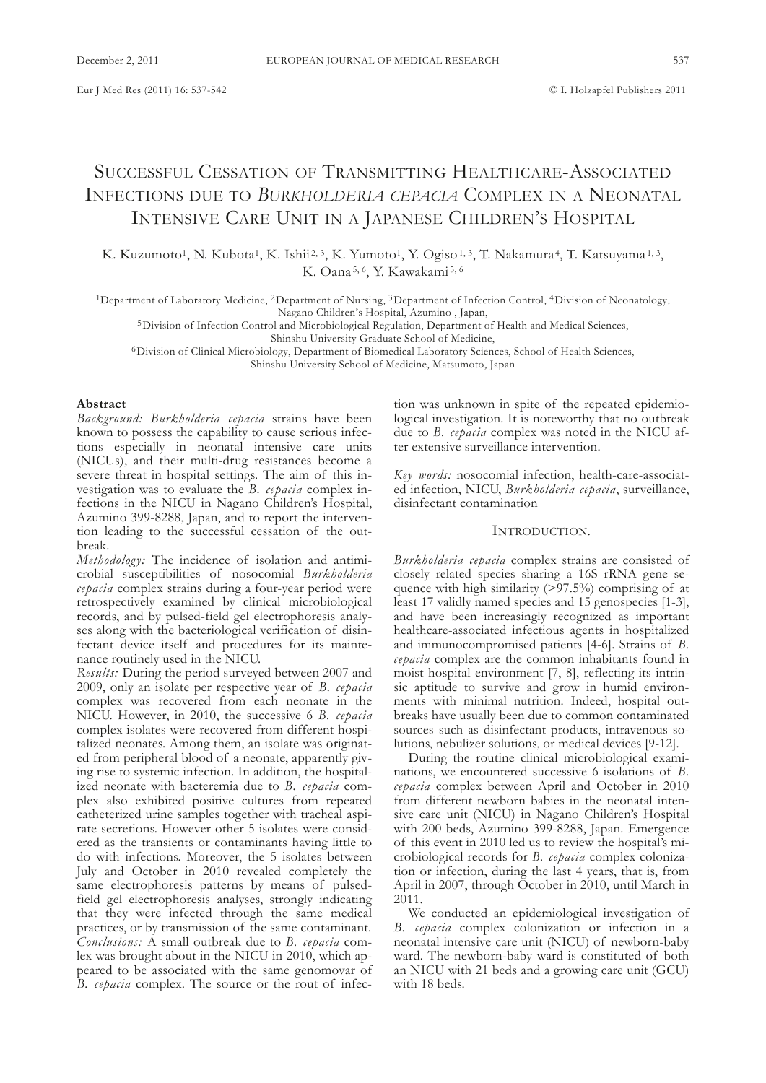# SUCCESSFUL CESSATION OF TRANSMITTING HEALTHCARE-ASSOCIATED INFECTIONS DUE TO BURKHOLDERIA *CEPACIA* COMPLEX IN A NEONATAL INTENSIVE CARE UNIT IN A JAPANESE CHILDREN'S HOSPITAL

K. Kuzumoto<sup>1</sup>, N. Kubota<sup>1</sup>, K. Ishii<sup>2, 3</sup>, K. Yumoto<sup>1</sup>, Y. Ogiso<sup>1, 3</sup>, T. Nakamura<sup>4</sup>, T. Katsuyama<sup>1, 3</sup>, K. Oana<sup>5, 6</sup>, Y. Kawakami<sup>5, 6</sup>

<sup>1</sup>Department of Laboratory Medicine, <sup>2</sup>Department of Nursing, <sup>3</sup>Department of Infection Control, <sup>4</sup>Division of Neonatology, nagano children's Hospital, azumino , Japan,

<sup>5</sup>Division of Infection Control and Microbiological Regulation, Department of Health and Medical Sciences,

Shinshu University Graduate School of Medicine,

<sup>6</sup>Division of Clinical Microbiology, Department of Biomedical Laboratory Sciences, School of Health Sciences,

Shinshu University School of Medicine, Matsumoto, Japan

#### **Abstract**

*Background: Burkholderia cepacia* strains have been known to possess the capability to cause serious infections especially in neonatal intensive care units (nIcus), and their multi-drug resistances become a severe threat in hospital settings. The aim of this investigation was to evaluate the *B. cepacia* complex infections in the NICU in Nagano Children's Hospital, Azumino 399-8288, Japan, and to report the intervention leading to the successful cessation of the outbreak.

*Methodology:* The incidence of isolation and antimicrobial susceptibilities of nosocomial *Burkholderia cepacia* complex strains during a four-year period were retrospectively examined by clinical microbiological records, and by pulsed-field gel electrophoresis analyses along with the bacteriological verification of disinfectant device itself and procedures for its maintenance routinely used in the NICU.

Results: During the period surveyed between 2007 and 2009, only an isolate per respective year of *B. cepacia* complex was recovered from each neonate in the nIcu. However, in 2010, the successive 6 *B. cepacia* complex isolates were recovered from different hospitalized neonates. Among them, an isolate was originated from peripheral blood of a neonate, apparently giving rise to systemic infection. In addition, the hospitalized neonate with bacteremia due to *B. cepacia* complex also exhibited positive cultures from repeated catheterized urine samples together with tracheal aspirate secretions. However other 5 isolates were considered as the transients or contaminants having little to do with infections. Moreover, the 5 isolates between July and october in 2010 revealed completely the same electrophoresis patterns by means of pulsedfield gel electrophoresis analyses, strongly indicating that they were infected through the same medical practices, or by transmission of the same contaminant. *conclusions:* a small outbreak due to *B. cepacia* comlex was brought about in the NICU in 2010, which appeared to be associated with the same genomovar of *B. cepacia* complex. the source or the rout of infection was unknown in spite of the repeated epidemiological investigation. It is noteworthy that no outbreak due to *B. cepacia* complex was noted in the NICU after extensive surveillance intervention.

*key words:* nosocomial infection, health-care-associated infection, nIcu, *Burkholderia cepacia*, surveillance, disinfectant contamination

## INTRODUCTION.

*Burkholderia cepacia* complex strains are consisted of closely related species sharing a 16S rRNA gene sequence with high similarity  $(>97.5\%)$  comprising of at least 17 validly named species and 15 genospecies [1-3], and have been increasingly recognized as important healthcare-associated infectious agents in hospitalized and immunocompromised patients [4-6]. Strains of *B. cepacia* complex are the common inhabitants found in moist hospital environment [7, 8], reflecting its intrinsic aptitude to survive and grow in humid environments with minimal nutrition. Indeed, hospital outbreaks have usually been due to common contaminated sources such as disinfectant products, intravenous solutions, nebulizer solutions, or medical devices [9-12].

During the routine clinical microbiological examinations, we encountered successive 6 isolations of *B. cepacia* complex between April and October in 2010 from different newborn babies in the neonatal intensive care unit (NICU) in Nagano Children's Hospital with 200 beds, Azumino 399-8288, Japan. Emergence of this event in 2010 led us to review the hospital's microbiological records for *B. cepacia* complex colonization or infection, during the last 4 years, that is, from April in 2007, through October in 2010, until March in 2011.

We conducted an epidemiological investigation of *B. cepacia* complex colonization or infection in a neonatal intensive care unit (nIcu) of newborn-baby ward. The newborn-baby ward is constituted of both an NICU with 21 beds and a growing care unit (GCU) with 18 beds.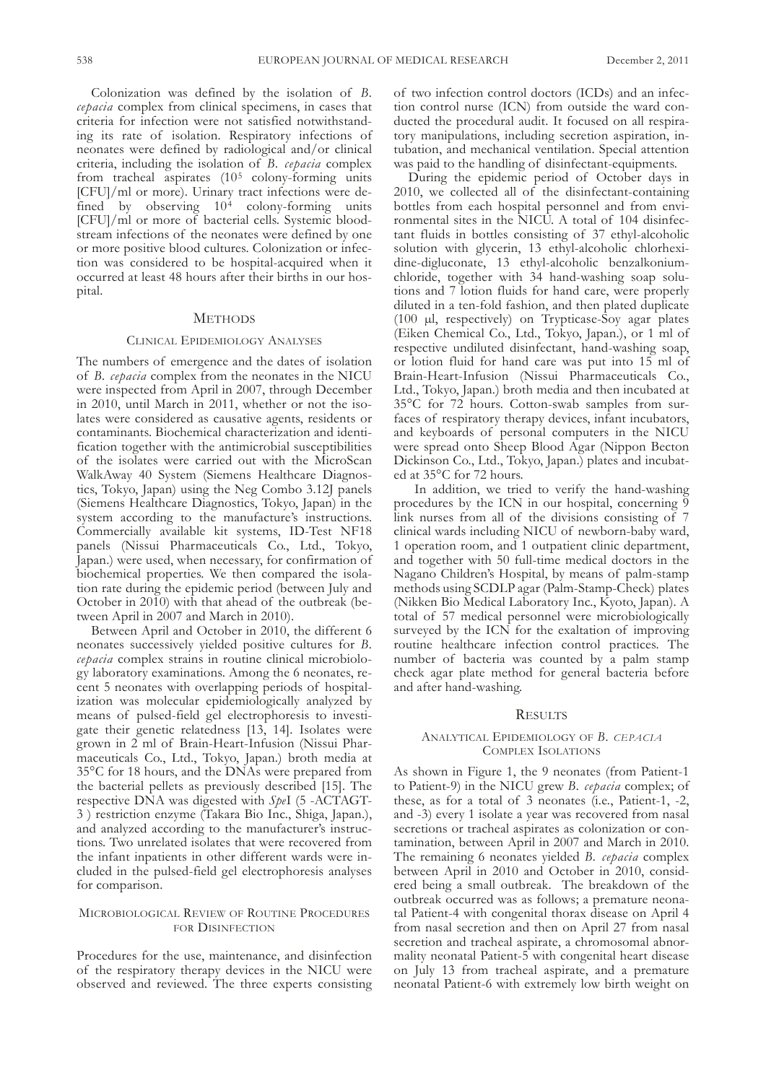colonization was defined by the isolation of *B. cepacia* complex from clinical specimens, in cases that criteria for infection were not satisfied notwithstanding its rate of isolation. Respiratory infections of neonates were defined by radiological and/or clinical criteria, including the isolation of *B. cepacia* complex from tracheal aspirates (105 colony-forming units [CFU]/ml or more). Urinary tract infections were defined by observing  $10^4$  colony-forming units  $[CFU]/m$  or more of bacterial cells. Systemic bloodstream infections of the neonates were defined by one or more positive blood cultures. colonization or infection was considered to be hospital-acquired when it occurred at least 48 hours after their births in our hospital.

#### **METHODS**

#### clInIcal EPIdEMIologY analYSES

The numbers of emergence and the dates of isolation of *B. cepacia* complex from the neonates in the nIcu were inspected from April in 2007, through December in 2010, until March in 2011, whether or not the isolates were considered as causative agents, residents or contaminants. Biochemical characterization and identification together with the antimicrobial susceptibilities of the isolates were carried out with the MicroScan WalkAway 40 System (Siemens Healthcare Diagnostics, Tokyo, Japan) using the Neg Combo 3.12J panels (Siemens Healthcare Diagnostics, Tokyo, Japan) in the system according to the manufacture's instructions. Commercially available kit systems, ID-Test NF18 panels (Nissui Pharmaceuticals Co., Ltd., Tokyo, Japan.) were used, when necessary, for confirmation of biochemical properties. We then compared the isolation rate during the epidemic period (between July and October in 2010) with that ahead of the outbreak (between April in 2007 and March in 2010).

Between April and October in 2010, the different 6 neonates successively yielded positive cultures for *B. cepacia* complex strains in routine clinical microbiology laboratory examinations. Among the 6 neonates, recent 5 neonates with overlapping periods of hospitalization was molecular epidemiologically analyzed by means of pulsed-field gel electrophoresis to investigate their genetic relatedness [13, 14]. Isolates were grown in 2 ml of Brain-Heart-Infusion (Nissui Pharmaceuticals co., ltd., tokyo, Japan.) broth media at 35°C for 18 hours, and the DNAs were prepared from the bacterial pellets as previously described [15]. The respective DNA was digested with *SpeI* (5 -ACTAGT-3) restriction enzyme (Takara Bio Inc., Shiga, Japan.), and analyzed according to the manufacturer's instructions. Two unrelated isolates that were recovered from the infant inpatients in other different wards were included in the pulsed-field gel electrophoresis analyses for comparison.

### MIcRoBIologIcal REvIEW of RoutInE PRocEduRES FOR DISINFECTION

Procedures for the use, maintenance, and disinfection of the respiratory therapy devices in the nIcu were observed and reviewed. the three experts consisting of two infection control doctors (ICDs) and an infection control nurse (ICN) from outside the ward conducted the procedural audit. It focused on all respiratory manipulations, including secretion aspiration, intubation, and mechanical ventilation. Special attention was paid to the handling of disinfectant-equipments.

During the epidemic period of October days in 2010, we collected all of the disinfectant-containing bottles from each hospital personnel and from environmental sites in the NICU. A total of 104 disinfectant fluids in bottles consisting of 37 ethyl-alcoholic solution with glycerin, 13 ethyl-alcoholic chlorhexidine-digluconate, 13 ethyl-alcoholic benzalkoniumchloride, together with 34 hand-washing soap solutions and 7 lotion fluids for hand care, were properly diluted in a ten-fold fashion, and then plated duplicate (100 µl, respectively) on trypticase-Soy agar plates (Eiken Chemical Co., Ltd., Tokyo, Japan.), or 1 ml of respective undiluted disinfectant, hand-washing soap, or lotion fluid for hand care was put into 15 ml of Brain-Heart-Infusion (Nissui Pharmaceuticals Co., Ltd., Tokyo, Japan.) broth media and then incubated at 35°c for 72 hours. cotton-swab samples from surfaces of respiratory therapy devices, infant incubators, and keyboards of personal computers in the NICU were spread onto Sheep Blood Agar (Nippon Becton Dickinson Co., Ltd., Tokyo, Japan.) plates and incubated at 35°c for 72 hours.

In addition, we tried to verify the hand-washing procedures by the ICN in our hospital, concerning  $\overline{9}$ link nurses from all of the divisions consisting of 7 clinical wards including NICU of newborn-baby ward, 1 operation room, and 1 outpatient clinic department, and together with 50 full-time medical doctors in the Nagano Children's Hospital, by means of palm-stamp methods using SCDLP agar (Palm-Stamp-Check) plates (Nikken Bio Medical Laboratory Inc., Kyoto, Japan). A total of 57 medical personnel were microbiologically surveyed by the ICN for the exaltation of improving routine healthcare infection control practices. The number of bacteria was counted by a palm stamp check agar plate method for general bacteria before and after hand-washing.

#### **RESULTS**

## analYtIcal EPIdEMIologY of *B. cepacia* coMPlEx ISolatIonS

As shown in Figure 1, the 9 neonates (from Patient-1) to Patient-9) in the NICU grew *B. cepacia* complex; of these, as for a total of 3 neonates (i.e., Patient-1, -2, and -3) every 1 isolate a year was recovered from nasal secretions or tracheal aspirates as colonization or contamination, between April in 2007 and March in 2010. the remaining 6 neonates yielded *B. cepacia* complex between April in 2010 and October in 2010, considered being a small outbreak. The breakdown of the outbreak occurred was as follows; a premature neonatal Patient-4 with congenital thorax disease on april 4 from nasal secretion and then on April 27 from nasal secretion and tracheal aspirate, a chromosomal abnormality neonatal Patient-5 with congenital heart disease on July 13 from tracheal aspirate, and a premature neonatal Patient-6 with extremely low birth weight on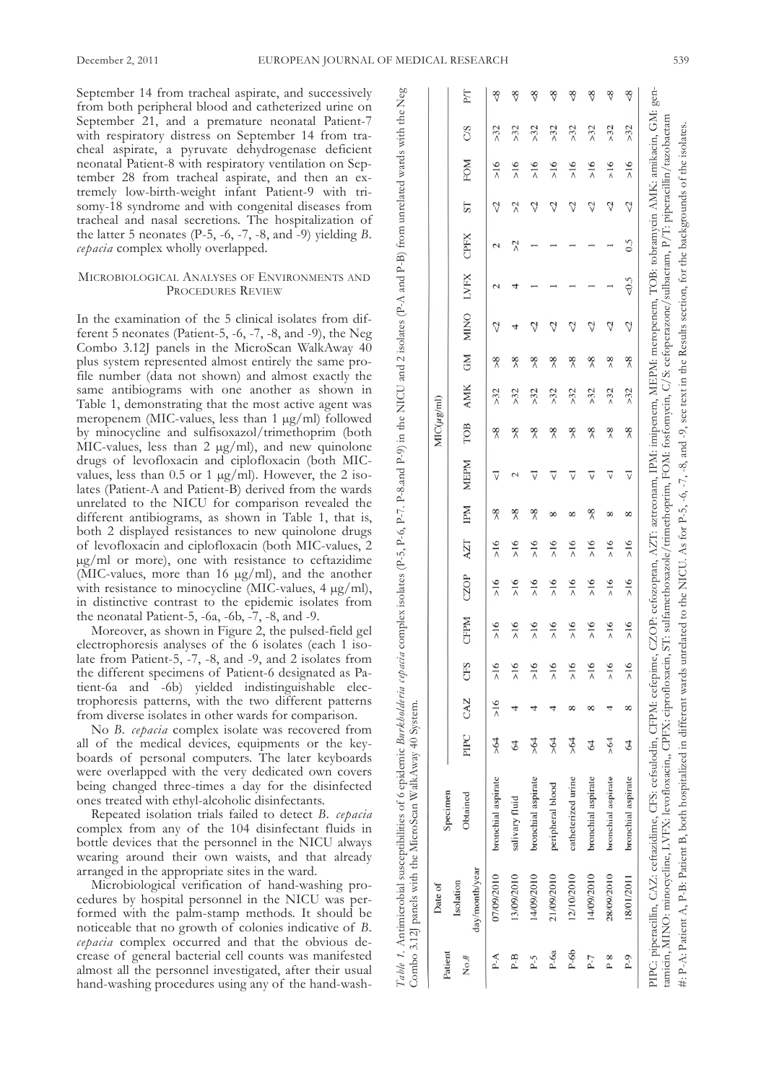September 14 from tracheal aspirate, and successively from both peripheral blood and catheterized urine on September 21, and a premature neonatal Patient-7 with respiratory distress on September 14 from tracheal aspirate, a pyruvate dehydrogenase deficient neonatal Patient-8 with respiratory ventilation on September 28 from tracheal aspirate, and then an extremely low-birth-weight infant Patient-9 with trisomy-18 syndrome and with congenital diseases from tracheal and nasal secretions. The hospitalization of the latter 5 neonates (P-5, -6, -7, -8, and -9) yielding *B*. cepacia complex wholly overlapped.

## MICROBIOLOGICAL ANALYSES OF ENVIRONMENTS AND PROCEDURES REVIEW

In the examination of the 5 clinical isolates from different 5 neonates (Patient-5,  $-6$ ,  $-7$ ,  $-8$ , and  $-9$ ), the Neg Combo 3.12J panels in the MicroScan WalkAway 40 plus system represented almost entirely the same pro file number (data not shown) and almost exactly the same antibiograms with one another as shown in Table 1, demonstrating that the most active agent was meropenem (MIC-values, less than 1 µg/ml) followed by minocycline and sulfisoxazol/trimethoprim (both MIC-values, less than 2  $\mu$ g/ml), and new quinolone drugs of levofloxacin and ciplofloxacin (both MIc values, less than 0.5 or 1  $\mu$ g/ml). However, the 2 isolates (Patient-A and Patient-B) derived from the wards unrelated to the NICU for comparison revealed the different antibiograms, as shown in Table 1, that is, both 2 displayed resistances to new quinolone drugs of levofloxacin and ciplofloxacin (both MIc-values, 2 µg/ml or more), one with resistance to ceftazidime (MIc-values, more than 16 µg/ml), and the another with resistance to minocycline (MIC-values,  $4 \mu g/ml$ ), in distinctive contrast to the epidemic isolates from the neonatal Patient-5, -6a, -6b, -7, -8, and -9. December 2, 2011<br>
EuRopes. 14 a prematie a goine et successively for<br>From both peripheral blood and catheterized urine on<br>September 21, and a prematie neosation of Pairel-C-1 and a prematie neosation<br>September 14 from trac

Moreover, as shown in figure 2, the pulsed-field gel electrophoresis analyses of the 6 isolates (each 1 iso late from Patient-5, -7, -8, and -9, and 2 isolates from the different specimens of Patient-6 designated as Pa tient-6a and -6b) yielded indistinguishable elec trophoresis patterns, with the two different patterns from diverse isolates in other wards for comparison.

No *B. cepacia* complex isolate was recovered from all of the medical devices, equipments or the key boards of personal computers. The later keyboards were overlapped with the very dedicated own covers being changed three-times a day for the disinfected ones treated with ethyl-alcoholic disinfectants.

Repeated isolation trials failed to detect *B. cepacia* complex from any of the 104 disinfectant fluids in bottle devices that the personnel in the NICU always wearing around their own waists, and that already arranged in the appropriate sites in the ward.

Microbiological verification of hand-washing pro cedures by hospital personnel in the nIcu was per formed with the palm-stamp methods. It should be noticeable that no growth of colonies indicative of *B. cepacia* complex occurred and that the obvious de crease of general bacterial cell counts was manifested almost all the personnel investigated, after their usual

|                 | Date of        |                                                                                                                                                                                  |                |          |     |                |          |     |               |                   | $MIC(\mu g/ml)$ |                           |               |              |                       |                |     |     |    |
|-----------------|----------------|----------------------------------------------------------------------------------------------------------------------------------------------------------------------------------|----------------|----------|-----|----------------|----------|-----|---------------|-------------------|-----------------|---------------------------|---------------|--------------|-----------------------|----------------|-----|-----|----|
| Patient<br>No.# | Isolation      | Specimen<br>Obtained                                                                                                                                                             |                | PIPC CAZ | CFS | CFPM           | CZOP AZT |     | IPM MEPM      |                   |                 | TOB AMK GM MINO LVFX CPFX |               |              |                       | $\overline{S}$ | FOM | C/S | PЛ |
|                 | day/month/year |                                                                                                                                                                                  |                |          |     |                |          |     |               |                   |                 |                           |               |              |                       |                |     |     |    |
| $P-A$           | 07/09/2010     | bronchial aspirate                                                                                                                                                               | $\frac{64}{5}$ | >16      | >16 | >16            | >16      | >16 | $\frac{8}{2}$ | $\overline{\vee}$ | $\frac{8}{2}$   | >32                       | $\frac{8}{2}$ |              |                       | $\heartsuit$   | >16 | >32 | 8  |
| P-B             | 13/09/2010     | salivary fluid                                                                                                                                                                   | 2              | 4        | >16 | >16            | >16      | >16 | $\frac{8}{2}$ | 2                 | $\frac{8}{2}$   | >32                       | $\frac{8}{2}$ |              | $\tilde{\mathcal{L}}$ | $\tilde{c}$    | >16 | >32 | 8  |
| P-5             | 14/09/2010     | bronchial aspirate                                                                                                                                                               | $\times$       |          | >16 | >16            | >16      | >16 | $\frac{8}{2}$ | $\overline{\vee}$ | $\frac{8}{2}$   | >32                       | $\frac{8}{2}$ | Q            |                       | Ą              | >16 | >32 | 8  |
| $P-6a$          | 21/09/2010     | peripheral blood                                                                                                                                                                 | 364            |          | >16 | >16            | >16      | >16 | ∞             | $\overline{\vee}$ | $\frac{8}{2}$   | >32                       | $\frac{8}{2}$ | $\heartsuit$ |                       | $\heartsuit$   | >16 | >32 | 8  |
| $P-6b$          | 12/10/2010     | catheterized urine                                                                                                                                                               | 564            |          | >16 | >16            | >16      | >16 | ${}^{\circ}$  | $\overline{\vee}$ | $\frac{8}{2}$   | >32                       | $\frac{8}{2}$ | Ą            |                       | $\heartsuit$   | >16 | >32 | 8  |
| $P-7$           | 14/09/2010     | bronchial aspirate                                                                                                                                                               | $\mathcal{L}$  | ∝        | >16 | >16            | >16      | >16 | ╳             | $\overline{\vee}$ | $\frac{8}{2}$   | >32                       | $\frac{8}{2}$ | $\heartsuit$ |                       | $\heartsuit$   | >16 | >32 | 8  |
| $P-8$           | 28/09/2010     | bronchial aspirate                                                                                                                                                               | 364            |          | >16 | >16            | >16      | >16 | $^{\circ}$    | $\overline{\vee}$ | $\frac{8}{2}$   | >32                       | $\frac{8}{2}$ | $\heartsuit$ |                       | $\heartsuit$   | >16 | >32 | 8  |
| $P-9$           | 18/01/2011     | bronchial aspirate                                                                                                                                                               | $\mathcal{L}$  | 8        | >16 | $\frac{16}{1}$ | >16      | >16 | $^{\circ}$    | $\overline{\vee}$ | $\frac{8}{2}$   | >32                       | $\frac{8}{2}$ | $\heartsuit$ | 0.5                   | $\heartsuit$   | >16 | >32 | 8  |
|                 |                | PIPC: piperacillin, CAZ: ceftazidime, CFS: cefsulodin, CFPM: cefepime, CZOP: cefozopran, AZT: aztreonam, IPM: imipenem, MEPM: meropenem, TOB: tobramycin AMK: amikacin, GM: gen- |                |          |     |                |          |     |               |                   |                 |                           |               |              |                       |                |     |     |    |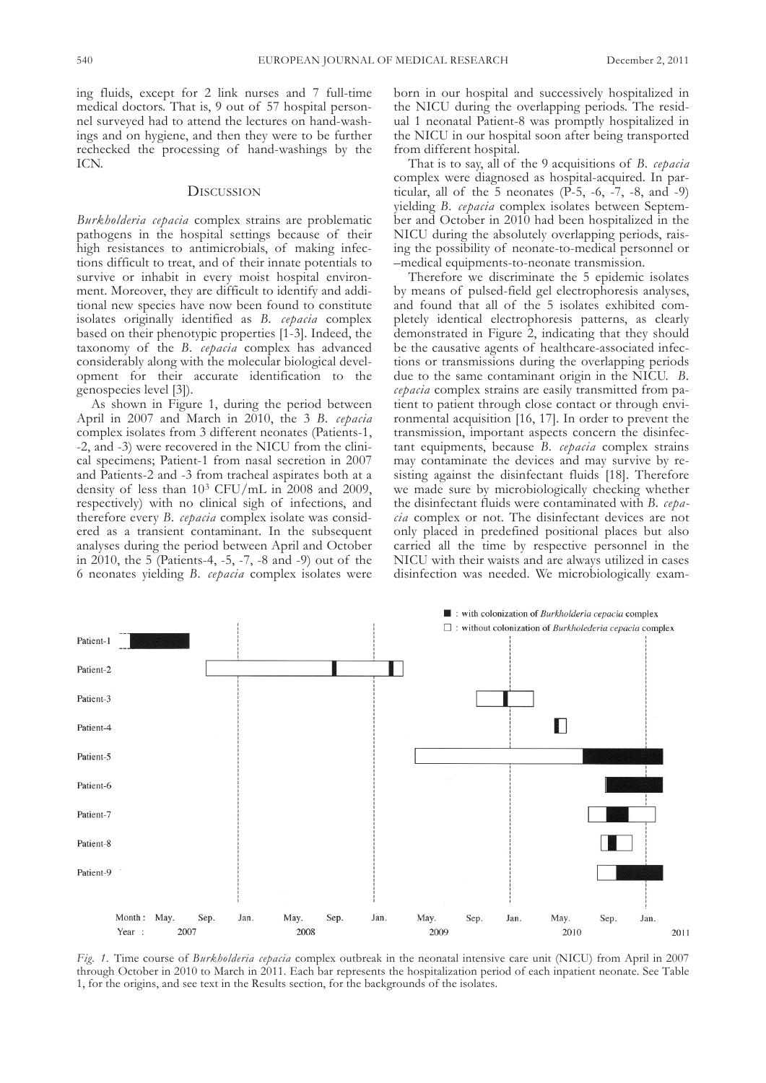ing fluids, except for 2 link nurses and 7 full-time medical doctors. That is, 9 out of 57 hospital personnel surveyed had to attend the lectures on hand-washings and on hygiene, and then they were to be further rechecked the processing of hand-washings by the ICN.

#### **DISCUSSION**

*Burkholderia cepacia* complex strains are problematic pathogens in the hospital settings because of their high resistances to antimicrobials, of making infections difficult to treat, and of their innate potentials to survive or inhabit in every moist hospital environment. Moreover, they are difficult to identify and additional new species have now been found to constitute isolates originally identified as *B. cepacia* complex based on their phenotypic properties [1-3]. Indeed, the taxonomy of the *B. cepacia* complex has advanced considerably along with the molecular biological development for their accurate identification to the genospecies level [3]).

As shown in Figure 1, during the period between april in 2007 and March in 2010, the 3 *B. cepacia* complex isolates from 3 different neonates (Patients-1, -2, and -3) were recovered in the NICU from the clinical specimens; Patient-1 from nasal secretion in 2007 and Patients-2 and -3 from tracheal aspirates both at a density of less than  $10^3$  CFU/mL in 2008 and 2009, respectively) with no clinical sigh of infections, and therefore every *B. cepacia* complex isolate was considered as a transient contaminant. In the subsequent analyses during the period between April and October in 2010, the 5 (Patients-4, -5, -7, -8 and -9) out of the 6 neonates yielding *B. cepacia* complex isolates were

born in our hospital and successively hospitalized in the NICU during the overlapping periods. The residual 1 neonatal Patient-8 was promptly hospitalized in the NICU in our hospital soon after being transported from different hospital.

that is to say, all of the 9 acquisitions of *B. cepacia* complex were diagnosed as hospital-acquired. In particular, all of the  $\overline{5}$  neonates (P-5, -6, -7, -8, and -9) yielding *B. cepacia* complex isolates between September and october in 2010 had been hospitalized in the NICU during the absolutely overlapping periods, raising the possibility of neonate-to-medical personnel or –medical equipments-to-neonate transmission.

Therefore we discriminate the 5 epidemic isolates by means of pulsed-field gel electrophoresis analyses, and found that all of the 5 isolates exhibited completely identical electrophoresis patterns, as clearly demonstrated in figure 2, indicating that they should be the causative agents of healthcare-associated infections or transmissions during the overlapping periods due to the same contaminant origin in the nIcu. *B. cepacia* complex strains are easily transmitted from patient to patient through close contact or through environmental acquisition [16, 17]. In order to prevent the transmission, important aspects concern the disinfectant equipments, because *B. cepacia* complex strains may contaminate the devices and may survive by resisting against the disinfectant fluids [18]. Therefore we made sure by microbiologically checking whether the disinfectant fluids were contaminated with *B. cepacia* complex or not. The disinfectant devices are not only placed in predefined positional places but also carried all the time by respective personnel in the NICU with their waists and are always utilized in cases disinfection was needed. We microbiologically exam-



*Fig. 1.* time course of *Burkholderia cepacia* complex outbreak in the neonatal intensive care unit (nIcu) from april in 2007 through October in 2010 to March in 2011. Each bar represents the hospitalization period of each inpatient neonate. See Table 1, for the origins, and see text in the Results section, for the backgrounds of the isolates.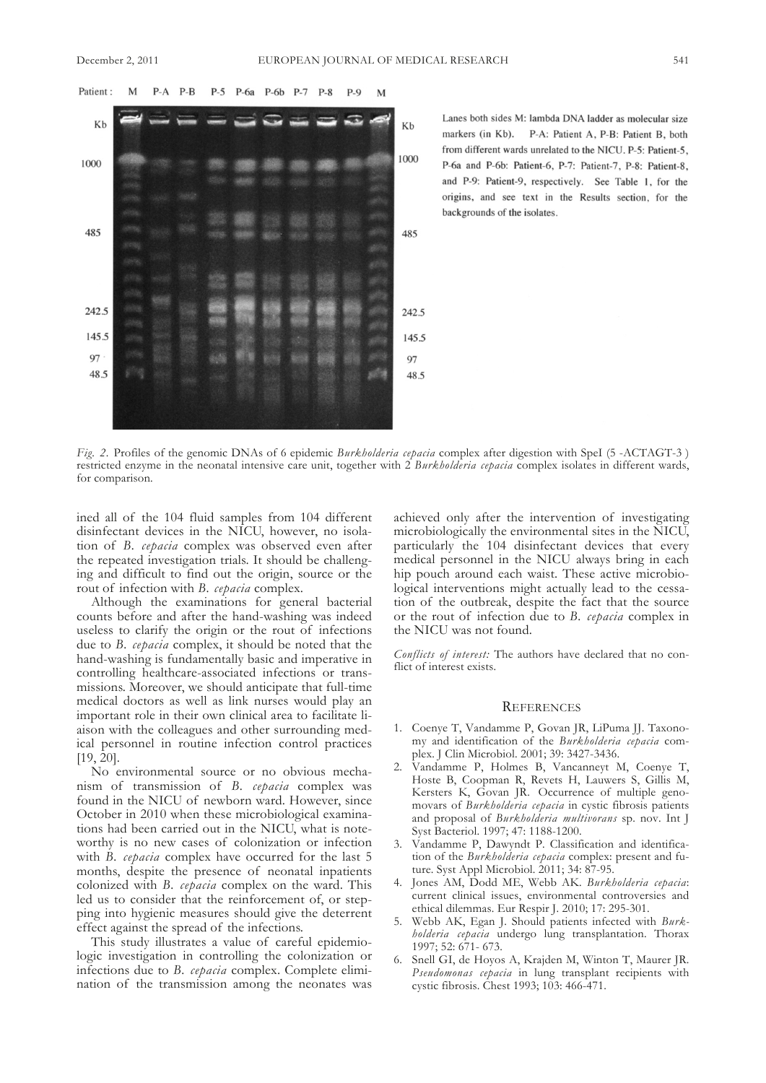

Lanes both sides M: lambda DNA ladder as molecular size markers (in Kb). P-A: Patient A, P-B: Patient B, both from different wards unrelated to the NICU, P-5: Patient-5. P-6a and P-6b: Patient-6, P-7: Patient-7, P-8: Patient-8, and P-9: Patient-9, respectively. See Table 1, for the origins, and see text in the Results section, for the backgrounds of the isolates.

*Fig.* 2. Profiles of the genomic DNAs of 6 epidemic *Burkholderia cepacia* complex after digestion with SpeI (5 -ACTAGT-3) restricted enzyme in the neonatal intensive care unit, together with 2 *Burkholderia cepacia* complex isolates in different wards, for comparison.

ined all of the 104 fluid samples from 104 different disinfectant devices in the NICU, however, no isolation of *B. cepacia* complex was observed even after the repeated investigation trials. It should be challenging and difficult to find out the origin, source or the rout of infection with *B. cepacia* complex.

although the examinations for general bacterial counts before and after the hand-washing was indeed useless to clarify the origin or the rout of infections due to *B. cepacia* complex, it should be noted that the hand-washing is fundamentally basic and imperative in controlling healthcare-associated infections or transmissions. Moreover, we should anticipate that full-time medical doctors as well as link nurses would play an important role in their own clinical area to facilitate liaison with the colleagues and other surrounding medical personnel in routine infection control practices  $[19, 20]$ .

No environmental source or no obvious mechanism of transmission of *B. cepacia* complex was found in the NICU of newborn ward. However, since October in 2010 when these microbiological examinations had been carried out in the NICU, what is noteworthy is no new cases of colonization or infection with *B. cepacia* complex have occurred for the last 5 months, despite the presence of neonatal inpatients colonized with *B. cepacia* complex on the ward. This led us to consider that the reinforcement of, or stepping into hygienic measures should give the deterrent effect against the spread of the infections.

This study illustrates a value of careful epidemiologic investigation in controlling the colonization or infections due to *B. cepacia* complex. Complete elimination of the transmission among the neonates was achieved only after the intervention of investigating microbiologically the environmental sites in the NICU, particularly the 104 disinfectant devices that every medical personnel in the NICU always bring in each hip pouch around each waist. These active microbiological interventions might actually lead to the cessation of the outbreak, despite the fact that the source or the rout of infection due to *B. cepacia* complex in the NICU was not found.

*conflicts of interest:* the authors have declared that no conflict of interest exists.

#### **REFERENCES**

- 1. Coenye T, Vandamme P, Govan JR, LiPuma JJ. Taxonomy and identification of the *Burkholderia cepacia* complex. J clin Microbiol. 2001; 39: 3427-3436.
- 2. Vandamme P, Holmes B, Vancanneyt M, Coenye T, Hoste B, coopman R, Revets H, lauwers S, gillis M, Kersters K, Govan JR. Occurrence of multiple genomovars of *Burkholderia cepacia* in cystic fibrosis patients and proposal of *Burkholderia multivorans* sp. nov. Int J Syst Bacteriol. 1997; 47: 1188-1200.
- Vandamme P, Dawyndt P. Classification and identification of the *Burkholderia cepacia* complex: present and future. Syst Appl Microbiol. 2011; 34: 87-95.
- 4. Jones AM, Dodd ME, Webb AK. Burkholderia cepacia: current clinical issues, environmental controversies and ethical dilemmas. Eur Respir J. 2010; 17: 295-301.
- 5. Webb aK, Egan J. Should patients infected with *Burkholderia cepacia* undergo lung transplantation. Thorax 1997; 52: 671- 673.
- Snell GI, de Hoyos A, Krajden M, Winton T, Maurer JR. *pseudomonas cepacia* in lung transplant recipients with cystic fibrosis. chest 1993; 103: 466-471.